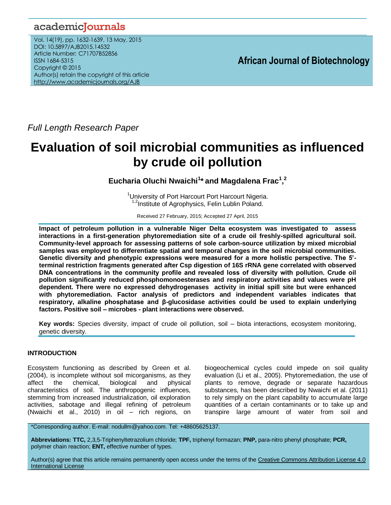# academicJournals

Vol. 14(19), pp. 1632-1639, 13 May, 2015 DOI: 10.5897/AJB2015.14532 Article Number: C71707B52856 ISSN 1684-5315 Copyright © 2015 Author(s) retain the copyright of this article <http://www.academicjournals.org/AJB>

## **African Journal of Biotechnology**

*Full Length Research Paper*

# **Evaluation of soil microbial communities as influenced by crude oil pollution**

**Eucharia Oluchi Nwaichi<sup>1</sup> \* and Magdalena Frac<sup>1</sup> , 2**

<sup>1</sup>University of Port Harcourt Port Harcourt Nigeria. <sup>1,2</sup>Institute of Agrophysics, Felin Lublin Poland.

Received 27 February, 2015; Accepted 27 April, 2015

**Impact of petroleum pollution in a vulnerable Niger Delta ecosystem was investigated to assess interactions in a first-generation phytoremediation site of a crude oil freshly-spilled agricultural soil. Community-level approach for assessing patterns of sole carbon-source utilization by mixed microbial samples was employed to differentiate spatial and temporal changes in the soil microbial communities. Genetic diversity and phenotypic expressions were measured for a more holistic perspective. The 5' terminal restriction fragments generated after Csp digestion of 16S rRNA gene correlated with observed DNA concentrations in the community profile and revealed loss of diversity with pollution. Crude oil pollution significantly reduced phosphomonoesterases and respiratory activities and values were pH dependent. There were no expressed dehydrogenases activity in initial spill site but were enhanced with phytoremediation. Factor analysis of predictors and independent variables indicates that respiratory, alkaline phosphatase and β-glucosidase activities could be used to explain underlying factors. Positive soil – microbes - plant interactions were observed.**

**Key words:** Species diversity, impact of crude oil pollution, soil – biota interactions, ecosystem monitoring, genetic diversity.

## **INTRODUCTION**

Ecosystem functioning as described by Green et al. (2004), is incomplete without soil micorganisms, as they affect the chemical, biological and physical characteristics of soil. The anthropogenic influences, stemming from increased industrialization, oil exploration activities, sabotage and illegal refining of petroleum (Nwaichi et al., 2010) in oil – rich regions, on

biogeochemical cycles could impede on soil quality evaluation (Li et al., 2005). Phytoremediation, the use of plants to remove, degrade or separate hazardous substances, has been described by Nwaichi et al. (2011) to rely simply on the plant capability to accumulate large quantities of a certain contaminants or to take up and transpire large amount of water from soil and

\*Corresponding author. E-mail: nodullm@yahoo.com. Tel: +48605625137.

**Abbreviations: TTC,** 2,3,5-Triphenyltetrazolium chloride; **TPF,** triphenyl formazan; **PNP,** para-nitro phenyl phosphate; **PCR,** polymer chain reaction; **ENT,** effective number of types.

Author(s) agree that this article remains permanently open access under the terms of the Creative Commons Attribution License 4.0 [International License](http://creativecommons.org/licenses/by/4.0/deed.en_US)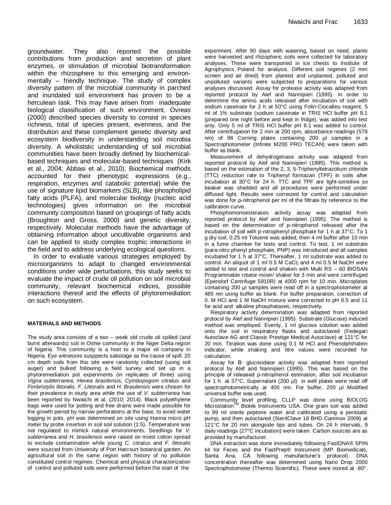groundwater. They also reported the possible contributions from production and secretion of plant enzymes, or stimulation of microbial biotransformation within the rhizosphere to this emerging and environmentally – friendly technique. The study of complex diversity pattern of the microbial community in parched and inundated soil environment has proven to be a herculean task. This may have arisen from inadequate biological classification of such environment. Ovreas (2000) described species diversity to consist in species richness, total of species present, evenness, and the distribution and these complement genetic diversity and ecosystem biodiversity in understanding soil microbia diversity. A wholiststic understanding of soil microbial communities have been broadly defined by biochemicalbased techniques and molecular-based techniques (Kirk et al., 2004; Abbasi et al., 2010). Biochemical methods accounted for their phenotypic expressions (e.g., respiration, enzymes and catabolic potential) while the use of signature lipid biomarkers (SLB), like phospholipid fatty acids (PLFA), and molecular biology (nucleic acid technologies) gives information on the microbial community composition based on groupings of fatty acids (Broughton and Gross, 2000) and genetic diversity, respectively. Molecular methods have the advantage of obtaining information about uncultivable organisms and can be applied to study complex trophic interactions in the field and to address underlying ecological questions.

In order to evaluate various strategies employed by microorganisms to adapt to changed environmental conditions under wide perturbations, this study seeks to evaluate the impact of crude oil pollution on soil microbial community, relevant biochemical indices, possible interactions thereof and the effects of phytoremediation on such ecosystem.

#### **MATERIALS AND METHODS**

The study area consists of a two – week old crude oil spilled (and burnt afterwards) soil in Oshie community in the Niger Delta region of Nigeria. This community is a host to a major oil company in Nigeria. Eye witnesses susppects sabotage as the cause of spill. 20 cm depth soils from this site were randomly collected (using soil auger) and bulked following a field survey and set up in a phytoremediation pot experiments (in replicates of three) using *Vigna subterranea, Hevea brasilensis, Cymbopogom citratus* and *Fimbristylis littoralis*. *F. Littoralis* and *H. Brasilensis* were chosen for their prevalence in study area while the use of *V. subterranea* has been reported by Nwaichi et al. (2010; 2014). Black polyethylene bags were used for potting and free drains were made possible for the growth period by narrow perforations at the base, to avoid water logging in pots. pH was determined on site using Hanna micro pH meter by probe insertion in soil soil solution (1:5). Temperature was not regulated to mimick natural environments. Seedlings for *V. subterranea* and *H. brasilensis* were raised on moist cotton spread to exclude contamination while young *C. citratus* and *F. littoralis* were sourced from University of Port Harcourt botanical garden. An agricultural soil in the same region with history of no pollution constituted control regimes. Chemical and physical characterization of control and polluted soils were performed before the start of the

experiment. After 90 days with watering, based on need, plants were harvested and rhizopheric soils were collected for laboratory analyses. These were transported in ice chests to Institute of Agrophysics Poland for analysis. Different soil regimes (2 mm screen and air dried) from planted and unplanted, polluted and unpolluted variants were subjected to preparations for various analyses discussed: Assay for protease activity was adapted from reported protocol by Alef and Nannipieri (1995). In order to determine the amino acids released after incubation of soil with sodium caseinate for 2 h at 50°C using Folin-Ciocalteu reagent, 5 ml of 1% substrate (sodium caseinate in TRIS HCl buffer pH 8.1 (prepared one night before and kept in fridge), was added into test only. Only 5 ml of TRIS HCl buffer pH 8.1 was added to control. After centrifugation for 2 min at 200 rpm, absorbance readings (578 nm) of 96 Corning plates containing 200 µl samples in a Spectrophotometer (Infinite M200 PRO TECAN) were taken with buffer as blank.

Measurement of dehydrogenase activity was adapted from reported protocol by Alef and Nannipieri (1995). This method is based on the estimation of the 2, 3, 5-Triphenyltetrazolium chloride (TTC) reduction rate to Triphenyl formazan (TPF) in soils after incubation at 30°C for 24 h. TTC and TPF are light-sensitive so beaker was shielded and all procedures were performed under diffused light. Results were corrected for control and calculation was done for ρ-nitrophenol per ml of the filtrate by reference to the calibration curve.

Phosphomonoesterases activity assay was adapted from reported protocol by Alef and Nannipieri (1995). The method is based on the determination of p-nitrophenol released after the incubation of soil with p-nitrophenyl phosphate for 1 h at 37°C. To 1 g dry soil, 0.25 ml Toluene was added, then 4 ml buffer after 10 min in a fume chamber for tests and control. To test, 1 ml substrate (para-nitro phenyl phosphate, PNP) was introduced and all samples incubated for 1 h at 37°C. Thereafter, 1 ml substrate was added to control. An aliquot of 1 ml  $0.5$  M CaCl<sub>2</sub> and 4 ml  $0.5$  M NaOH were added to test and control and shaken with Multi RS – 60 BIOSAN Programmable rotator-mixer/ shaker for 3 min and were centrifuged (Ependorf Centrifuge 5810R) at 4000 rpm for 10 min. Microplates containing 200 µl samples were read off in a spectrophotometer at 485 nm using buffer as blank. For buffer preparation, correction of 0. M HCl and 1 M NaOH mixture were corrected to pH 6.5 and 11 for acid and alkaline phosphatases, respectively.

Respiratory activity determination was adapted from reported protocol by Alef and Nannipieri (1995). Substrate (Glucose) induced method was employed. Evenly, 1 ml glucose solution was added onto the soil in respiratory flasks and autoclaved (Fedegari Autoclave AG and Classic Prestige Medical Autoclave) at 121°C for 20 min. Titration was done using 0.1 M HCl and Phenolphthalein indicator, while shaking and titre values were recorded for calculation.

Assay for Β- glucosidase activity was adapted from reported protocol by Alef and Nannipieri (1995). This was based on the principle of released ρ-nitrophenol estimation, after soil incubation for 1 h at 37°C. Supernatant (200 µl) in well plates were read off spectrophotometrically at 400 nm. For buffer, 200 µl Modified universal buffer was used.

Community level profiling, CLLP was done using BIOLOG Microstation™ Biotek Instruments USA. One gram soil was added to 99 ml sterile peptone water and calibrated using a peristatic pump, and then autoclaved (SterilClave 18 BHD Caminox 2009) at 121°C for 20 min alongside tips and tubes. On 24 h intervals, 9 daily readings (27°C incubation) were taken. Carbon sources are as provided by manufacturer.

DNA extraction was done immediately following FastDNA® SPIN kit for Feces and the FastPrep® Instrument (MP Biomedicals, Santa Ana, CA following manufacturer's protocol). DNA concentration thereafter was determined using Nano Drop 2000 Spectrophotometer (Thermo Scientific). These were stored at -80°.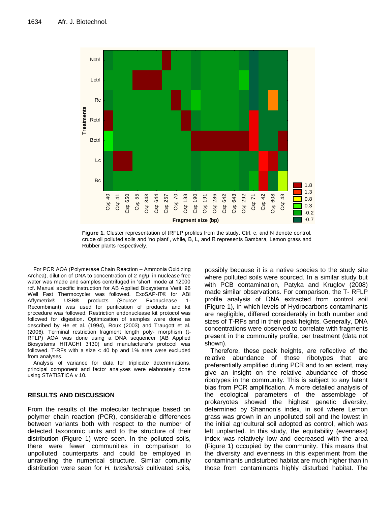

Figure 1. Cluster representation of tRFLP profiles from the study. Ctrl, c, and N denote control, crude oil polluted soils and 'no plant', while, B, L, and R represents Bambara, Lemon grass and Rubber plants respectively.

For PCR AOA (Polymerase Chain Reaction – Ammonia Oxidizing Archea), dilution of DNA to concentration of 2 ng/ul in nuclease free water was made and samples centrifuged in 'short' mode at 12000 rcf. Manual specific instruction for AB Applied Biosystems Veriti 96 Well Fast Thermocycler was followed. ExoSAP-IT® for ABI Affymetrix® USB® products (Source: Exonuclease 1- Recombinant) was used for purification of products and kit procedure was followed. Restriction endonuclease kit protocol was followed for digestion. Optimization of samples were done as described by He et al. (1994), Roux (2003) and Traugott et al. (2006). Terminal restriction fragment length poly- morphism (t-RFLP) AOA was done using a DNA sequencer (AB Applied Biosystems HITACHI 3130) and manufacturer's protocol was followed. T-RFs with a size < 40 bp and 1% area were excluded from analyses.

Analysis of variance for data for triplicate determinations, principal component and factor analyses were elaborately done using STATISTICA v 10.

## **RESULTS AND DISCUSSION**

From the results of the molecular technique based on polymer chain reaction (PCR), considerable differences between variants both with respect to the number of detected taxonomic units and to the structure of their distribution (Figure 1) were seen. In the polluted soils, there were fewer communities in comparison to unpolluted counterparts and could be employed in unravelling the numerical structure. Similar comunity distribution were seen for *H. brasilensis* cultivated soils, possibly because it is a native species to the study site where polluted soils were sourced. In a similar study but with PCB contamination, Patyka and Kruglov (2008) made similar observations. For comparison, the T- RFLP profile analysis of DNA extracted from control soil (Figure 1), in which levels of Hydrocarbons contaminants are negligible, differed considerably in both number and sizes of T-RFs and in their peak heights. Generally, DNA concentrations were observed to correlate with fragments present in the community profile, per treatment (data not shown).

Therefore, these peak heights, are reflective of the relative abundance of those ribotypes that are preferentially amplified during PCR and to an extent, may give an insight on the relative abundance of those ribotypes in the community. This is subject to any latent bias from PCR amplification. A more detailed analysis of the ecological parameters of the assemblage of prokaryotes showed the highest genetic diversity, determined by Shannon's index, in soil where Lemon grass was grown in an unpolluted soil and the lowest in the initial agricultural soil adopted as control, which was left unplanted. In this study, the equitability (evenness) index was relatively low and decreased with the area (Figure 1) occupied by the community. This means that the diversity and evenness in this experiment from the contaminants undisturbed habitat are much higher than in those from contaminants highly disturbed habitat. The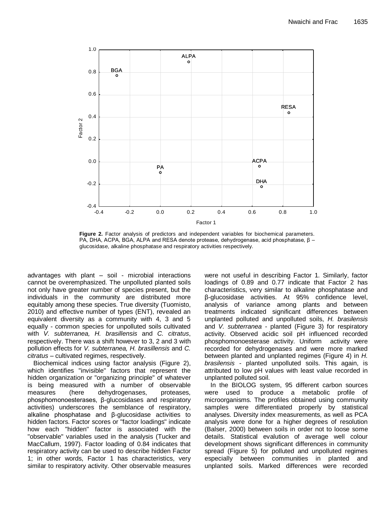

**Figure 2.** Factor analysis of predictors and independent variables for biochemical parameters. PA, DHA, ACPA, BGA, ALPA and RESA denote protease, dehydrogenase, acid phosphatase,  $β$  – glucosidase, alkaline phosphatase and respiratory activities respectively.

advantages with plant – soil - microbial interactions cannot be overemphasized. The unpolluted planted soils not only have greater number of species present, but the individuals in the community are distributed more equitably among these species. True diversity (Tuomisto, 2010) and effective number of types (ENT), revealed an equivalent diversity as a community with 4, 3 and 5 equally - common species for unpolluted soils cultivated with *V. subterranea, H. brasillensis* and *C. citratus*, respectively. There was a shift however to 3, 2 and 3 with pollution effects for *V. subterranea, H. brasillensis* and *C. citratus* – cultivated regimes, respectively.

Biochemical indices using factor analysis (Figure 2), which identifies "invisible" factors that represent the hidden organization or "organizing principle" of whatever is being measured with a number of observable measures (here dehydrogenases, proteases, phosphomonoesterases, β-glucosidases and respiratory activities) underscores the semblance of respiratory, alkaline phosphatase and β-glucosidase activities to hidden factors. Factor scores or "factor loadings" indicate how each "hidden" factor is associated with the "observable" variables used in the analysis (Tucker and MacCallum, 1997). Factor loading of 0.84 indicates that respiratory activity can be used to describe hidden Factor 1; in other words, Factor 1 has characteristics, very similar to respiratory activity. Other observable measures were not useful in describing Factor 1. Similarly, factor loadings of 0.89 and 0.77 indicate that Factor 2 has characteristics, very similar to alkaline phosphatase and β-glucosidase activities. At 95% confidence level, analysis of variance among plants and between treatments indicated significant differences between unplanted polluted and unpolluted soils, *H. brasilensis*  and *V. subterranea -* planted (Figure 3) for respiratory activity. Observed acidic soil pH influenced recorded phosphomonoesterase activity. Uniform activity were recorded for dehydrogenases and were more marked between planted and unplanted regimes (Figure 4) in *H. brasilensis* - planted unpolluted soils. This again, is attributed to low pH values with least value recorded in unplanted polluted soil.

In the BIOLOG system, 95 different carbon sources were used to produce a metabolic profile of microorganisms. The profiles obtained using community samples were differentiated properly by statistical analyses. Diversity index measurements, as well as PCA analysis were done for a higher degrees of resolution (Balser, 2000) between soils in order not to loose some details. Statistical evalution of average well colour development shows significant differences in community spread (Figure 5) for polluted and unpolluted regimes especially between communities in planted and unplanted soils. Marked differences were recorded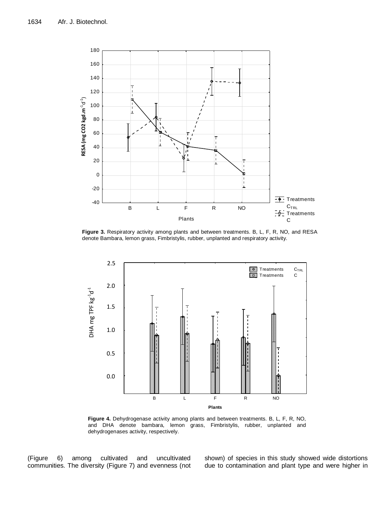

**Figure 3.** Respiratory activity among plants and between treatments. B, L, F, R, NO, and RESA denote Bambara, lemon grass, Fimbristylis, rubber, unplanted and respiratory activity.



**Figure 4.** Dehydrogenase activity among plants and between treatments. B, L, F, R, NO, and DHA denote bambara, lemon grass, Fimbristylis, rubber, unplanted and dehydrogenases activity, respectively.

(Figure 6) among cultivated and uncultivated communities. The diversity (Figure 7) and evenness (not shown) of species in this study showed wide distortions due to contamination and plant type and were higher in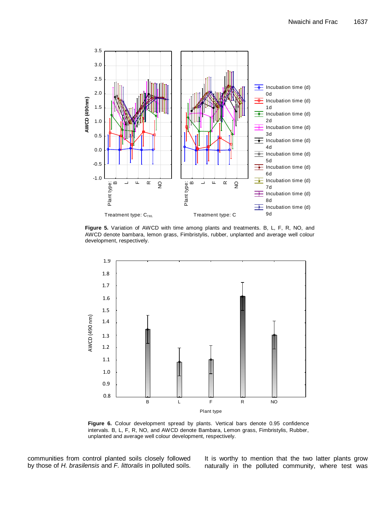

**Figure 5.** Variation of AWCD with time among plants and treatments. B, L, F, R, NO, and AWCD denote bambara, lemon grass, Fimbristylis, rubber, unplanted and average well colour development, respectively.



**Figure 6.** Colour development spread by plants. Vertical bars denote 0.95 confidence intervals. B, L, F, R, NO, and AWCD denote Bambara, Lemon grass, Fimbristylis, Rubber, unplanted and average well colour development, respectively.

communities from control planted soils closely followed by those of *H. brasilensis* and *F. littoralis* in polluted soils. It is worthy to mention that the two latter plants grow naturally in the polluted community, where test was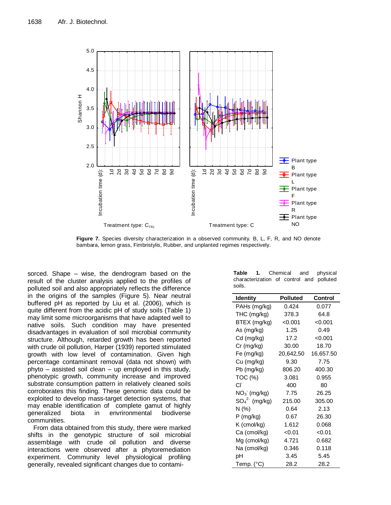

**Figure 7.** Species diversity characterization in a observed community. B, L, F, R, and NO denote bambara, lemon grass, Fimbristylis, Rubber, and unplanted regimes respectively.

sorced. Shape – wise, the dendrogram based on the result of the cluster analysis applied to the profiles of polluted soil and also appropriately reflects the difference in the origins of the samples (Figure 5). Near neutral buffered pH as reported by Liu et al. (2006), which is quite different from the acidic pH of study soils (Table 1) may limit some microorganisms that have adapted well to native soils. Such condition may have presented disadvantages in evaluation of soil microbial community structure. Although, retarded growth has been reported with crude oil pollution, Harper (1939) reported stimulated growth with low level of contamination. Given high percentage contaminant removal (data not shown) with phyto – assisted soil clean – up employed in this study, phenotypic growth, community increase and improved substrate consumption pattern in relatively cleaned soils corroborates this finding. These genomic data could be exploited to develop mass-target detection systems, that may enable identification of complete gamut of highly generalized biota in envrironmental biodiverse communities.

From data obtained from this study, there were marked shifts in the genotypic structure of soil microbial assemblage with crude oil pollution and diverse interactions were observed after a phytoremediation experiment. Community level physiological profiling generally, revealed significant changes due to contami-

| Table 1. Chemical and physical           |  |  |  |
|------------------------------------------|--|--|--|
| characterization of control and polluted |  |  |  |
| soils.                                   |  |  |  |

| <b>Identity</b>    | <b>Polluted</b> | <b>Control</b> |
|--------------------|-----------------|----------------|
| PAHs (mg/kg)       | 0.424           | 0.077          |
| THC (mg/kg)        | 378.3           | 64.8           |
| BTEX (mg/kg)       | < 0.001         | < 0.001        |
| As (mg/kg)         | 1.25            | 0.49           |
| Cd (mg/kg)         | 17.2            | < 0.001        |
| Cr (mg/kg)         | 30.00           | 18.70          |
| Fe (mg/kg)         | 20,642,50       | 16,657.50      |
| Cu (mg/kg)         | 9.30            | 7.75           |
| Pb (mg/kg)         | 806.20          | 400.30         |
| TOC (%)            | 3.081           | 0.955          |
| СĽ                 | 400             | 80             |
| $NO_3$ (mg/kg)     | 7.75            | 26.25          |
| $SO_4^{2}$ (mg/kg) | 215.00          | 305.00         |
| N (%)              | 0.64            | 2.13           |
| $P$ (mg/kg)        | 0.67            | 26.30          |
| K (cmol/kg)        | 1.612           | 0.068          |
| Ca (cmol/kg)       | < 0.01          | < 0.01         |
| Mg (cmol/kg)       | 4.721           | 0.682          |
| Na (cmol/kg)       | 0.346           | 0.118          |
| рH                 | 3.45            | 5.45           |
| Temp. (°C)         | 28.2            | 28.2           |